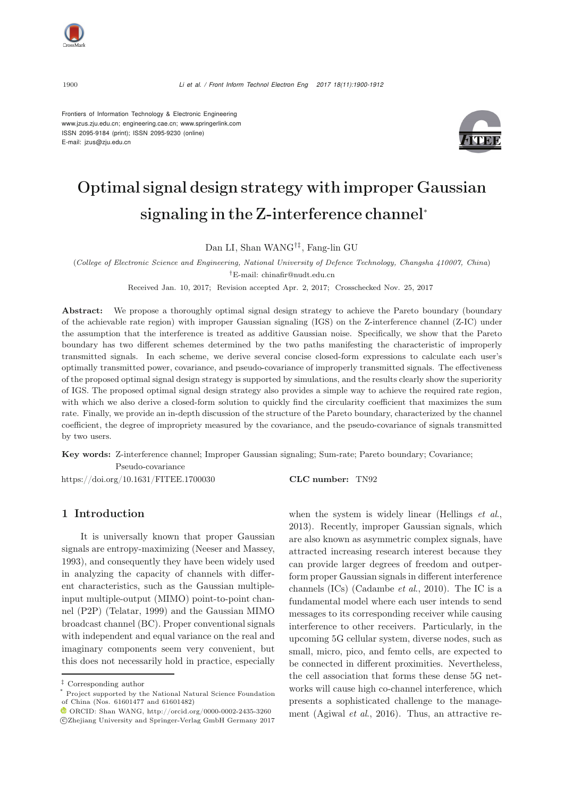

Frontiers of Information Technology & Electronic Engineering www.jzus.zju.edu.cn; engineering.cae.cn; www.springerlink.com ISSN 2095-9184 (print); ISSN 2095-9230 (online) E-mail: jzus@zju.edu.cn



# Optimal signal design strategy with improper Gaussian signaling in the Z-interference channel<sup>∗</sup>

Dan LI, Shan WANG†‡, Fang-lin GU

(*College of Electronic Science and Engineering, National University of Defence Technology, Changsha 410007, China*)

†E-mail: chinafir@nudt.edu.cn

Received Jan. 10, 2017; Revision accepted Apr. 2, 2017; Crosschecked Nov. 25, 2017

Abstract: We propose a thoroughly optimal signal design strategy to achieve the Pareto boundary (boundary of the achievable rate region) with improper Gaussian signaling (IGS) on the Z-interference channel (Z-IC) under the assumption that the interference is treated as additive Gaussian noise. Specifically, we show that the Pareto boundary has two different schemes determined by the two paths manifesting the characteristic of improperly transmitted signals. In each scheme, we derive several concise closed-form expressions to calculate each user's optimally transmitted power, covariance, and pseudo-covariance of improperly transmitted signals. The effectiveness of the proposed optimal signal design strategy is supported by simulations, and the results clearly show the superiority of IGS. The proposed optimal signal design strategy also provides a simple way to achieve the required rate region, with which we also derive a closed-form solution to quickly find the circularity coefficient that maximizes the sum rate. Finally, we provide an in-depth discussion of the structure of the Pareto boundary, characterized by the channel coefficient, the degree of impropriety measured by the covariance, and the pseudo-covariance of signals transmitted by two users.

Key words: Z-interference channel; Improper Gaussian signaling; Sum-rate; Pareto boundary; Covariance; Pseudo-covariance

https://doi.org/10.1631/FITEE.1700030 CLC number: TN92

# 1 Introduction

It is universally known that proper Gaussian signals are entropy-maximizing (Neeser and Massey, 1993), and consequently they have been widely used in analyzing the capacity of channels with different characteristics, such as the Gaussian multipleinput multiple-output (MIMO) point-to-point channel (P2P) (Telatar, 1999) and the Gaussian MIMO broadcast channel (BC). Proper conventional signals with independent and equal variance on the real and imaginary components seem very convenient, but this does not necessarily hold in practice, especially when the system is widely linear (Hellings *et al*., 2013). Recently, improper Gaussian signals, which are also known as asymmetric complex signals, have attracted increasing research interest because they can provide larger degrees of freedom and outperform proper Gaussian signals in different interference channels (ICs) (Cadambe *et al*., 2010). The IC is a fundamental model where each user intends to send messages to its corresponding receiver while causing interference to other receivers. Particularly, in the upcoming 5G cellular system, diverse nodes, such as small, micro, pico, and femto cells, are expected to be connected in different proximities. Nevertheless, the cell association that forms these dense 5G networks will cause high co-channel interference, which presents a sophisticated challenge to the management (Agiwal *et al*., 2016). Thus, an attractive re-

<sup>‡</sup> Corresponding author

Project supported by the National Natural Science Foundation of China (Nos. 61601477 and 61601482)

 $\bullet$  ORCID: Shan WANG, http://orcid.org/0000-0002-2435-3260 c Zhejiang University and Springer-Verlag GmbH Germany 2017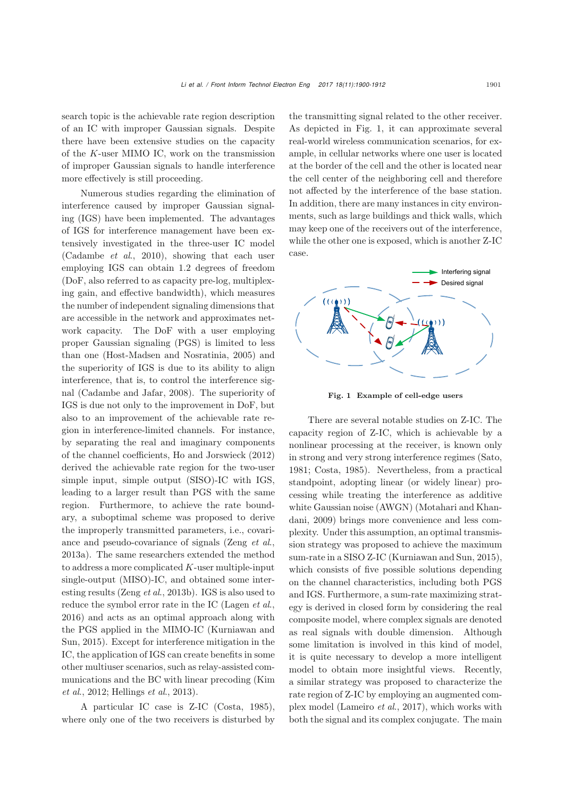search topic is the achievable rate region description of an IC with improper Gaussian signals. Despite there have been extensive studies on the capacity of the K-user MIMO IC, work on the transmission of improper Gaussian signals to handle interference more effectively is still proceeding.

Numerous studies regarding the elimination of interference caused by improper Gaussian signaling (IGS) have been implemented. The advantages of IGS for interference management have been extensively investigated in the three-user IC model (Cadambe *et al*., 2010), showing that each user employing IGS can obtain 1.2 degrees of freedom (DoF, also referred to as capacity pre-log, multiplexing gain, and effective bandwidth), which measures the number of independent signaling dimensions that are accessible in the network and approximates network capacity. The DoF with a user employing proper Gaussian signaling (PGS) is limited to less than one (Host-Madsen and Nosratinia, 2005) and the superiority of IGS is due to its ability to align interference, that is, to control the interference signal (Cadambe and Jafar, 2008). The superiority of IGS is due not only to the improvement in DoF, but also to an improvement of the achievable rate region in interference-limited channels. For instance, by separating the real and imaginary components of the channel coefficients, Ho and Jorswieck (2012) derived the achievable rate region for the two-user simple input, simple output (SISO)-IC with IGS, leading to a larger result than PGS with the same region. Furthermore, to achieve the rate boundary, a suboptimal scheme was proposed to derive the improperly transmitted parameters, i.e., covariance and pseudo-covariance of signals (Zeng *et al*., 2013a). The same researchers extended the method to address a more complicated  $K$ -user multiple-input single-output (MISO)-IC, and obtained some interesting results (Zeng *et al*., 2013b). IGS is also used to reduce the symbol error rate in the IC (Lagen *et al*., 2016) and acts as an optimal approach along with the PGS applied in the MIMO-IC (Kurniawan and Sun, 2015). Except for interference mitigation in the IC, the application of IGS can create benefits in some other multiuser scenarios, such as relay-assisted communications and the BC with linear precoding (Kim *et al*., 2012; Hellings *et al*., 2013).

A particular IC case is Z-IC (Costa, 1985), where only one of the two receivers is disturbed by the transmitting signal related to the other receiver. As depicted in Fig. 1, it can approximate several real-world wireless communication scenarios, for example, in cellular networks where one user is located at the border of the cell and the other is located near the cell center of the neighboring cell and therefore not affected by the interference of the base station. In addition, there are many instances in city environments, such as large buildings and thick walls, which may keep one of the receivers out of the interference, while the other one is exposed, which is another Z-IC case.



Fig. 1 Example of cell-edge users

There are several notable studies on Z-IC. The capacity region of Z-IC, which is achievable by a nonlinear processing at the receiver, is known only in strong and very strong interference regimes (Sato, 1981; Costa, 1985). Nevertheless, from a practical standpoint, adopting linear (or widely linear) processing while treating the interference as additive white Gaussian noise (AWGN) (Motahari and Khandani, 2009) brings more convenience and less complexity. Under this assumption, an optimal transmission strategy was proposed to achieve the maximum sum-rate in a SISO Z-IC (Kurniawan and Sun, 2015), which consists of five possible solutions depending on the channel characteristics, including both PGS and IGS. Furthermore, a sum-rate maximizing strategy is derived in closed form by considering the real composite model, where complex signals are denoted as real signals with double dimension. Although some limitation is involved in this kind of model, it is quite necessary to develop a more intelligent model to obtain more insightful views. Recently, a similar strategy was proposed to characterize the rate region of Z-IC by employing an augmented complex model (Lameiro *et al*., 2017), which works with both the signal and its complex conjugate. The main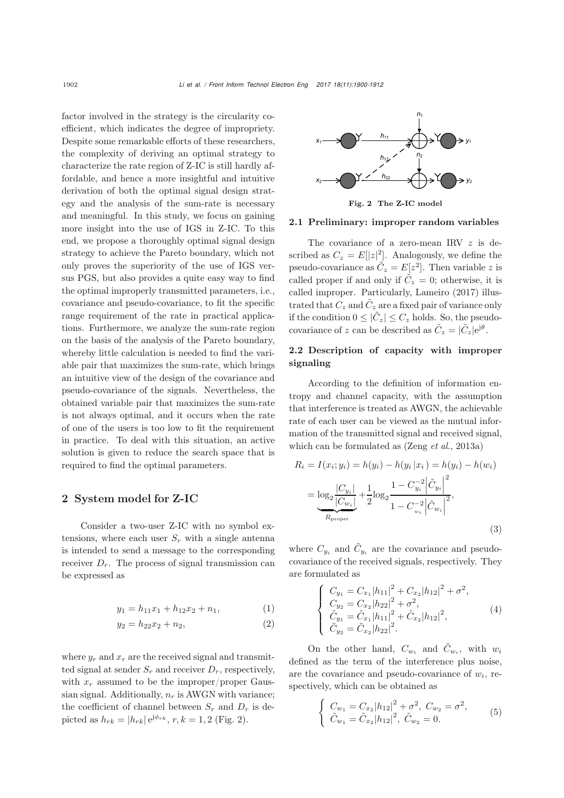factor involved in the strategy is the circularity coefficient, which indicates the degree of impropriety. Despite some remarkable efforts of these researchers, the complexity of deriving an optimal strategy to characterize the rate region of Z-IC is still hardly affordable, and hence a more insightful and intuitive derivation of both the optimal signal design strategy and the analysis of the sum-rate is necessary and meaningful. In this study, we focus on gaining more insight into the use of IGS in Z-IC. To this end, we propose a thoroughly optimal signal design strategy to achieve the Pareto boundary, which not only proves the superiority of the use of IGS versus PGS, but also provides a quite easy way to find the optimal improperly transmitted parameters, i.e., covariance and pseudo-covariance, to fit the specific range requirement of the rate in practical applications. Furthermore, we analyze the sum-rate region on the basis of the analysis of the Pareto boundary, whereby little calculation is needed to find the variable pair that maximizes the sum-rate, which brings an intuitive view of the design of the covariance and pseudo-covariance of the signals. Nevertheless, the obtained variable pair that maximizes the sum-rate is not always optimal, and it occurs when the rate of one of the users is too low to fit the requirement in practice. To deal with this situation, an active solution is given to reduce the search space that is required to find the optimal parameters.

# 2 System model for Z-IC

Consider a two-user Z-IC with no symbol extensions, where each user  $S_r$  with a single antenna is intended to send a message to the corresponding receiver  $D_r$ . The process of signal transmission can be expressed as

$$
y_1 = h_{11}x_1 + h_{12}x_2 + n_1, \tag{1}
$$

$$
y_2 = h_{22}x_2 + n_2,\tag{2}
$$

where  $y_r$  and  $x_r$  are the received signal and transmitted signal at sender  $S_r$  and receiver  $D_r$ , respectively, with  $x_r$  assumed to be the improper/proper Gaussian signal. Additionally,  $n_r$  is AWGN with variance; the coefficient of channel between  $S_r$  and  $D_r$  is depicted as  $h_{rk} = |h_{rk}| e^{j\phi_{rk}}, r, k = 1, 2$  (Fig. 2).



Fig. 2 The Z-IC model

#### 2.1 Preliminary: improper random variables

The covariance of a zero-mean IRV z is described as  $C_z = E[|z|^2]$ . Analogously, we define the pseudo-covariance as  $\tilde{C}_z = E[z^2]$ . Then variable z is called proper if and only if  $\tilde{C}_z = 0$ ; otherwise, it is called improper. Particularly, Lameiro (2017) illustrated that  $C_z$  and  $\tilde{C}_z$  are a fixed pair of variance only if the condition  $0 \leq |\tilde{C}_z| \leq C_z$  holds. So, the pseudocovariance of z can be described as  $\tilde{C}_z = |\tilde{C}_z|e^{j\theta}$ .

# 2.2 Description of capacity with improper signaling

According to the definition of information entropy and channel capacity, with the assumption that interference is treated as AWGN, the achievable rate of each user can be viewed as the mutual information of the transmitted signal and received signal, which can be formulated as (Zeng *et al*., 2013a)

$$
R_i = I(x_i; y_i) = h(y_i) - h(y_i | x_i) = h(y_i) - h(w_i)
$$
  
= 
$$
\underbrace{\log_2 \frac{|C_{y_i}|}{|C_{w_i}|}}_{R_{\text{proper}}} + \frac{1}{2} \underbrace{\log_2 \frac{1 - C_{y_i}^{-2} |\tilde{C}_{y_i}|^2}{1 - C_{w_i}^{-2} |\tilde{C}_{w_i}|^2},
$$
  
(3)

where  $C_{y_i}$  and  $\tilde{C}_{y_i}$  are the covariance and pseudocovariance of the received signals, respectively. They are formulated as ⎧

$$
\begin{cases}\nC_{y_1} = C_{x_1} |h_{11}|^2 + C_{x_2} |h_{12}|^2 + \sigma^2, \\
C_{y_2} = C_{x_2} |h_{22}|^2 + \sigma^2, \\
\tilde{C}_{y_1} = \tilde{C}_{x_1} |h_{11}|^2 + \tilde{C}_{x_2} |h_{12}|^2, \\
\tilde{C}_{y_2} = \tilde{C}_{x_2} |h_{22}|^2.\n\end{cases} (4)
$$

On the other hand,  $C_{w_i}$  and  $\tilde{C}_{w_i}$ , with  $w_i$ defined as the term of the interference plus noise, are the covariance and pseudo-covariance of  $w_i$ , respectively, which can be obtained as ×.

$$
\begin{cases}\nC_{w_1} = C_{x_2} |h_{12}|^2 + \sigma^2, \ C_{w_2} = \sigma^2, \\
\tilde{C}_{w_1} = \tilde{C}_{x_2} |h_{12}|^2, \ \tilde{C}_{w_2} = 0.\n\end{cases} (5)
$$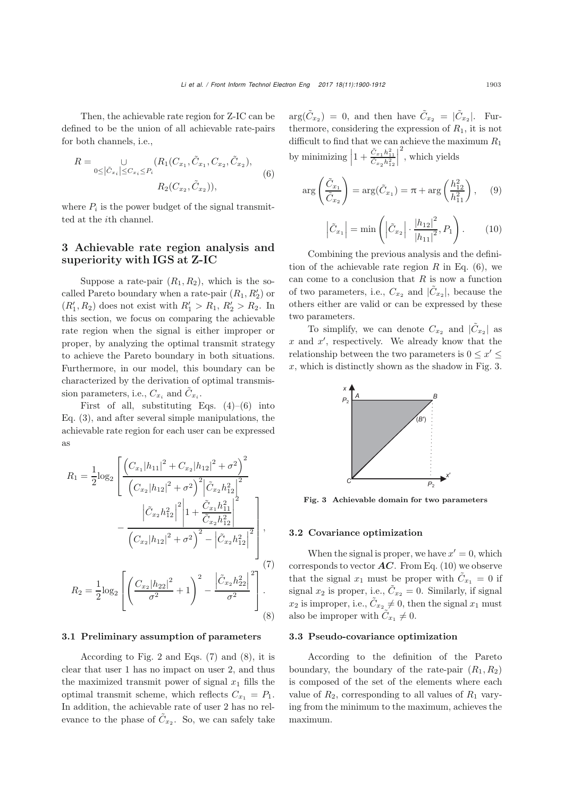Then, the achievable rate region for Z-IC can be defined to be the union of all achievable rate-pairs for both channels, i.e.,

$$
R = \bigcup_{0 \leq |\tilde{C}_{x_i}| \leq C_{x_i} \leq P_i} (R_1(C_{x_1}, \tilde{C}_{x_1}, C_{x_2}, \tilde{C}_{x_2}),
$$
  
\n
$$
R_2(C_{x_2}, \tilde{C}_{x_2})),
$$
\n(6)

where  $P_i$  is the power budget of the signal transmitted at the ith channel.

# 3 Achievable rate region analysis and superiority with IGS at Z-IC

Suppose a rate-pair  $(R_1, R_2)$ , which is the socalled Pareto boundary when a rate-pair  $(R_1, R'_2)$  or<br> $(P' \cap R)$  does not out with  $P' \geq R \cdot P' \geq R$ .  $(R'_1, R_2)$  does not exist with  $R'_1 > R_1, R'_2 > R_2$ . In<br>this section, we focus an approximating the schicarable this section, we focus on comparing the achievable rate region when the signal is either improper or proper, by analyzing the optimal transmit strategy to achieve the Pareto boundary in both situations. Furthermore, in our model, this boundary can be characterized by the derivation of optimal transmission parameters, i.e.,  $C_{x_i}$  and  $\tilde{C}_{x_i}$ .

First of all, substituting Eqs.  $(4)$ – $(6)$  into Eq. (3), and after several simple manipulations, the achievable rate region for each user can be expressed as

$$
R_{1} = \frac{1}{2} \log_{2} \left[ \frac{\left( C_{x_{1}} |h_{11}|^{2} + C_{x_{2}} |h_{12}|^{2} + \sigma^{2} \right)^{2}}{\left( C_{x_{2}} |h_{12}|^{2} + \sigma^{2} \right)^{2} \left| \tilde{C}_{x_{2}} h_{12}^{2} \right|^{2}} - \frac{\left| \tilde{C}_{x_{2}} h_{12}^{2} \right|^{2} \left| 1 + \frac{\tilde{C}_{x_{1}} h_{11}^{2}}{\tilde{C}_{x_{2}} h_{12}^{2}} \right|^{2}}{\left( C_{x_{2}} |h_{12}|^{2} + \sigma^{2} \right)^{2} - \left| \tilde{C}_{x_{2}} h_{12}^{2} \right|^{2}}, \right]
$$
\n
$$
= \frac{\left( 7 \right)^{2}}{\left( 7 \right)^{2}}
$$

$$
R_2 = \frac{1}{2} \log_2 \left[ \left( \frac{C_{x_2} |h_{22}|^2}{\sigma^2} + 1 \right)^2 - \frac{\left| \tilde{C}_{x_2} h_{22}^2 \right|^2}{\sigma^2} \right] \tag{8}
$$

#### 3.1 Preliminary assumption of parameters

According to Fig. 2 and Eqs. (7) and (8), it is clear that user 1 has no impact on user 2, and thus the maximized transmit power of signal  $x_1$  fills the optimal transmit scheme, which reflects  $C_{x_1} = P_1$ . In addition, the achievable rate of user 2 has no relevance to the phase of  $\tilde{C}_{x_2}$ . So, we can safely take

 $arg(\tilde{C}_{x_2})=0$ , and then have  $\tilde{C}_{x_2} = |\tilde{C}_{x_2}|$ . Furthermore, considering the expression of  $R_1$ , it is not difficult to find that we can achieve the maximum  $R_1$ by minimizing  $\left| 1 + \frac{\tilde{C}_{x_1} h_{11}^2}{\tilde{C}_{x_2} h_{12}^2} \right|$  $\Big|^2$ , which yields

$$
\arg\left(\frac{\tilde{C}_{x_1}}{\tilde{C}_{x_2}}\right) = \arg(\tilde{C}_{x_1}) = \pi + \arg\left(\frac{h_{12}^2}{h_{11}^2}\right), \quad (9)
$$

$$
\left|\tilde{C}_{x_1}\right| = \min\left(\left|\tilde{C}_{x_2}\right| \cdot \frac{|h_{12}|^2}{|h_{11}|^2}, P_1\right). \quad (10)
$$

Combining the previous analysis and the definition of the achievable rate region  $R$  in Eq. (6), we can come to a conclusion that  $R$  is now a function of two parameters, i.e.,  $C_{x_2}$  and  $|\tilde{C}_{x_2}|$ , because the others either are valid or can be expressed by these two parameters.

To simplify, we can denote  $C_{x_2}$  and  $|\tilde{C}_{x_2}|$  as x and  $x'$ , respectively. We already know that the relationship between the two parameters is  $0 \leq x' \leq$  $x$ , which is distinctly shown as the shadow in Fig. 3.



Fig. 3 Achievable domain for two parameters

## 3.2 Covariance optimization

When the signal is proper, we have  $x' = 0$ , which corresponds to vector  $AC$ . From Eq. (10) we observe that the signal  $x_1$  must be proper with  $\tilde{C}_{x_1} = 0$  if signal  $x_2$  is proper, i.e.,  $\tilde{C}_{x_2} = 0$ . Similarly, if signal  $x_2$  is improper, i.e.,  $C_{x_2} \neq 0$ , then the signal  $x_1$  must also be improper with  $C_{x_1} \neq 0$ .

#### 3.3 Pseudo-covariance optimization

According to the definition of the Pareto boundary, the boundary of the rate-pair  $(R_1, R_2)$ is composed of the set of the elements where each value of  $R_2$ , corresponding to all values of  $R_1$  varying from the minimum to the maximum, achieves the maximum.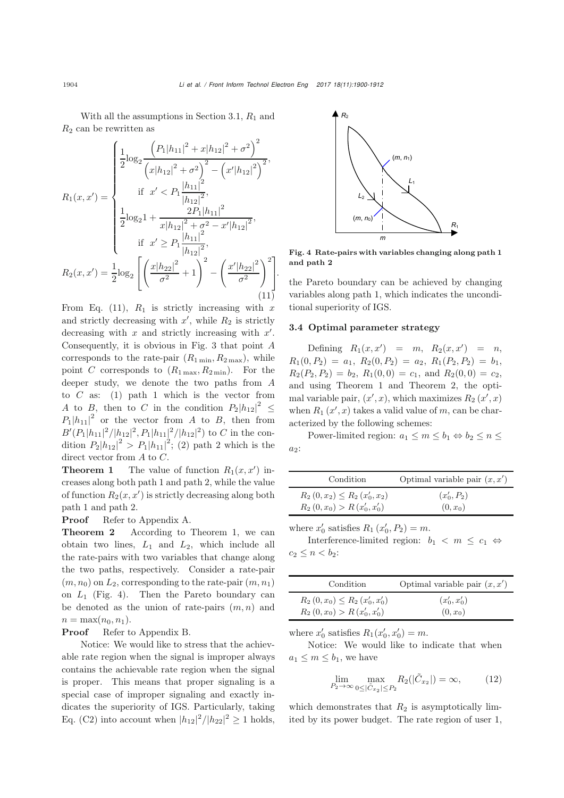With all the assumptions in Section 3.1,  $R_1$  and  $R_2$  can be rewritten as

$$
R_1(x, x') = \begin{cases} \frac{1}{2} \log_2 \frac{\left(P_1|h_{11}|^2 + x|h_{12}|^2 + \sigma^2\right)^2}{\left(x|h_{12}|^2 + \sigma^2\right)^2 - \left(x'|h_{12}|^2\right)^2}, \\ \text{if } x' < P_1 \frac{|h_{11}|^2}{|h_{12}|^2}, \\ \frac{1}{2} \log_2 1 + \frac{2P_1|h_{11}|^2}{x|h_{12}|^2 + \sigma^2 - x'|h_{12}|^2}, \\ \text{if } x' > P_1 \frac{|h_{11}|^2}{|h_{12}|^2}, \\ R_2(x, x') = \frac{1}{2} \log_2 \left[ \left(\frac{x|h_{22}|^2}{\sigma^2} + 1\right)^2 - \left(\frac{x'|h_{22}|^2}{\sigma^2}\right)^2 \right]. \end{cases}
$$
\n(11)

From Eq. (11),  $R_1$  is strictly increasing with x and strictly decreasing with  $x'$ , while  $R_2$  is strictly decreasing with  $x$  and strictly increasing with  $x'$ . Consequently, it is obvious in Fig. 3 that point A corresponds to the rate-pair  $(R_{1\min}, R_{2\max})$ , while point C corresponds to  $(R_{1\max}, R_{2\min})$ . For the deeper study, we denote the two paths from A to  $C$  as: (1) path 1 which is the vector from A to B, then to C in the condition  $P_2|h_{12}|^2 \leq$  $P_1|h_{11}|^2$  or the vector from A to B, then from  $B'(P_1|h_{11}|^2/|h_{12}|^2, P_1|h_{11}|^2/|h_{12}|^2)$  to C in the con-<br>dition  $B|h_{12}|^2 \geq B|h_{12}|^2$ , (2) path 2 which is the dition  $P_2|h_{12}|^2 > P_1|h_{11}|^2$ ; (2) path 2 which is the direct vector from A to C.

**Theorem 1** The value of function  $R_1(x, x')$  in-<br>execute learn both path 1 and path 2, while the value creases along both path 1 and path 2, while the value of function  $R_2(x, x')$  is strictly decreasing along both<br>nath 1 and nath 2 path 1 and path 2.

Proof Refer to Appendix A.

Theorem 2 According to Theorem 1, we can obtain two lines,  $L_1$  and  $L_2$ , which include all the rate-pairs with two variables that change along the two paths, respectively. Consider a rate-pair  $(m, n_0)$  on  $L_2$ , corresponding to the rate-pair  $(m, n_1)$ on  $L_1$  (Fig. 4). Then the Pareto boundary can be denoted as the union of rate-pairs  $(m, n)$  and  $n = \max(n_0, n_1).$ <br>**Proof** Refer t

Refer to Appendix B.

Notice: We would like to stress that the achievable rate region when the signal is improper always contains the achievable rate region when the signal is proper. This means that proper signaling is a special case of improper signaling and exactly indicates the superiority of IGS. Particularly, taking Eq. (C2) into account when  $|h_{12}|^2/|h_{22}|^2 \ge 1$  holds,



Fig. 4 Rate-pairs with variables changing along path 1 and path 2

the Pareto boundary can be achieved by changing variables along path 1, which indicates the unconditional superiority of IGS.

#### 3.4 Optimal parameter strategy

Defining  $R_1(x, x') = m$ ,  $R_2(x, x') = n$ ,<br>  $R_1(B_1) = a_1 B_2(B_2) = a_2 B_1(B_1) = k$  $R_1(0, P_2) = a_1, R_2(0, P_2) = a_2, R_1(P_2, P_2) = b_1,$  $R_2(P_2, P_2) = b_2$ ,  $R_1(0, 0) = c_1$ , and  $R_2(0, 0) = c_2$ , and using Theorem 1 and Theorem 2, the optimal variable pair,  $(x', x)$ , which maximizes  $R_2(x', x)$ <br>when  $R_1(x', x)$  takes a valid value of m, can be charwhen  $R_1(x',x)$  takes a valid value of m, can be char-<br>actorized by the following schemes: acterized by the following schemes:

Power-limited region:  $a_1 \leq m \leq b_1 \Leftrightarrow b_2 \leq n \leq$  $a_2$ :

| Condition                       | Optimal variable pair $(x, x')$ |
|---------------------------------|---------------------------------|
| $R_2(0,x_2) \leq R_2(x'_0,x_2)$ | $(x'_0, P_2)$                   |
| $R_2(0, x_0) > R(x'_0, x'_0)$   | $(0, x_0)$                      |

where 
$$
x'_0
$$
 satisfies  $R_1(x'_0, P_2) = m$ .  
Interference limited region.

Interference-limited region:  $b_1 < m \le c_1 \Leftrightarrow$  $c_2 \leq n < b_2$ :

| Condition                        | Optimal variable pair $(x, x')$ |
|----------------------------------|---------------------------------|
| $R_2(0,x_0) \leq R_2(x'_0,x'_0)$ | $(x'_0, x'_0)$                  |
| $R_2(0, x_0) > R(x'_0, x'_0)$    | $(0, x_0)$                      |

where  $x'_0$  satisfies  $R_1(x'_0, x'_0) = m$ .<br>Notice, We recall like to in

Notice: We would like to indicate that when  $a_1 \leq m \leq b_1$ , we have

$$
\lim_{P_2 \to \infty} \max_{0 \le |\tilde{C}_{x_2}| \le P_2} R_2(|\tilde{C}_{x_2}|) = \infty,
$$
\n(12)

which demonstrates that  $R_2$  is asymptotically limited by its power budget. The rate region of user 1,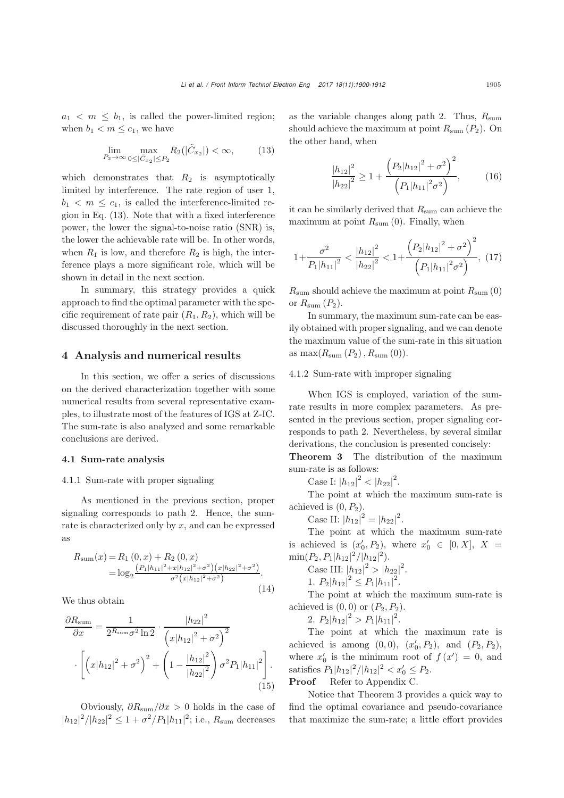$a_1 < m \leq b_1$ , is called the power-limited region; when  $b_1 < m \leq c_1$ , we have

$$
\lim_{P_2 \to \infty} \max_{0 \le |\tilde{C}_{x_2}| \le P_2} R_2(|\tilde{C}_{x_2}|) < \infty,\tag{13}
$$

which demonstrates that  $R_2$  is asymptotically limited by interference. The rate region of user 1,  $b_1 < m < c_1$ , is called the interference-limited region in Eq. (13). Note that with a fixed interference power, the lower the signal-to-noise ratio (SNR) is, the lower the achievable rate will be. In other words, when  $R_1$  is low, and therefore  $R_2$  is high, the interference plays a more significant role, which will be shown in detail in the next section.

In summary, this strategy provides a quick approach to find the optimal parameter with the specific requirement of rate pair  $(R_1, R_2)$ , which will be discussed thoroughly in the next section.

#### 4 Analysis and numerical results

In this section, we offer a series of discussions on the derived characterization together with some numerical results from several representative examples, to illustrate most of the features of IGS at Z-IC. The sum-rate is also analyzed and some remarkable conclusions are derived.

#### 4.1 Sum-rate analysis

#### 4.1.1 Sum-rate with proper signaling

As mentioned in the previous section, proper signaling corresponds to path 2. Hence, the sumrate is characterized only by  $x$ , and can be expressed as

$$
R_{\text{sum}}(x) = R_1(0, x) + R_2(0, x)
$$
  
= 
$$
\log_2 \frac{(P_1|h_{11}|^2 + x|h_{12}|^2 + \sigma^2)(x|h_{22}|^2 + \sigma^2)}{\sigma^2(x|h_{12}|^2 + \sigma^2)}.
$$
 (14)

We thus obtain

$$
\frac{\partial R_{\text{sum}}}{\partial x} = \frac{1}{2^{R_{\text{sum}}} \sigma^2 \ln 2} \cdot \frac{|h_{22}|^2}{\left(x|h_{12}|^2 + \sigma^2\right)^2} \cdot \left[ \left(x|h_{12}|^2 + \sigma^2\right)^2 + \left(1 - \frac{|h_{12}|^2}{|h_{22}|^2}\right) \sigma^2 P_1 |h_{11}|^2 \right]. \tag{15}
$$

Obviously,  $\partial R_{\text{sum}}/\partial x > 0$  holds in the case of  $|h_{12}|^2/|h_{22}|^2 \leq 1 + \sigma^2/P_1|h_{11}|^2$ ; i.e.,  $R_{\text{sum}}$  decreases

as the variable changes along path 2. Thus,  $R_{\text{sum}}$ should achieve the maximum at point  $R_{\text{sum}}(P_2)$ . On the other hand, when

$$
\frac{|h_{12}|^2}{|h_{22}|^2} \ge 1 + \frac{\left(P_2|h_{12}|^2 + \sigma^2\right)^2}{\left(P_1|h_{11}|^2\sigma^2\right)},\tag{16}
$$

it can be similarly derived that  $R_{\text{sum}}$  can achieve the maximum at point  $R_{\text{sum}}(0)$ . Finally, when

$$
1 + \frac{\sigma^2}{P_1|h_{11}|^2} < \frac{|h_{12}|^2}{|h_{22}|^2} < 1 + \frac{\left(P_2|h_{12}|^2 + \sigma^2\right)^2}{\left(P_1|h_{11}|^2\sigma^2\right)},\tag{17}
$$

 $R_{\text{sum}}$  should achieve the maximum at point  $R_{\text{sum}}(0)$ or  $R_{\text{sum}}(P_2)$ .

In summary, the maximum sum-rate can be easily obtained with proper signaling, and we can denote the maximum value of the sum-rate in this situation as  $\max(R_{\text{sum}}(P_2), R_{\text{sum}}(0)).$ 

#### 4.1.2 Sum-rate with improper signaling

When IGS is employed, variation of the sumrate results in more complex parameters. As presented in the previous section, proper signaling corresponds to path 2. Nevertheless, by several similar derivations, the conclusion is presented concisely:

Theorem 3 The distribution of the maximum sum-rate is as follows:

Case I:  $|h_{12}|^2 < |h_{22}|^2$ .

The point at which the maximum sum-rate is achieved is  $(0, P_2)$ .

Case II:  $|h_{12}|^2 = |h_{22}|^2$ .<br>The point at which t

The point at which the maximum sum-rate is achieved is  $(x'_0, P_2)$ , where  $x'_0 \in [0, X]$ ,  $X = \min_{P \in \mathcal{P}} (P, P | I_1 | 2)$  $\frac{\min(P_2, P_1 | h_{12}|^2 / |h_{12}|^2)}{\operatorname{Cose}}$ 

Case III: 
$$
|h_{12}|^2 > |h_{22}|^2
$$
.

1. 
$$
P_2|h_{12}|^2 \leq P_1|h_{11}|^2
$$
.

The point at which the maximum sum-rate is achieved is  $(0, 0)$  or  $(P_2, P_2)$ .

2.  $P_2|h_{12}|^2 > P_1|h_{11}|^2$ .

The point at which the maximum rate is achieved is among  $(0,0)$ ,  $(x'_0, P_2)$ , and  $(P_2, P_2)$ , where  $x'_0$  is the minimum root of  $f(x') = 0$ , and estimated  $B \mid k = |x'| + |x'| \leq |x'| \leq B$ satisfies  $P_1|h_{12}|^2/|h_{12}|^2 < x'_0 \le P_2$ .

Proof Refer to Appendix C.

Notice that Theorem 3 provides a quick way to find the optimal covariance and pseudo-covariance that maximize the sum-rate; a little effort provides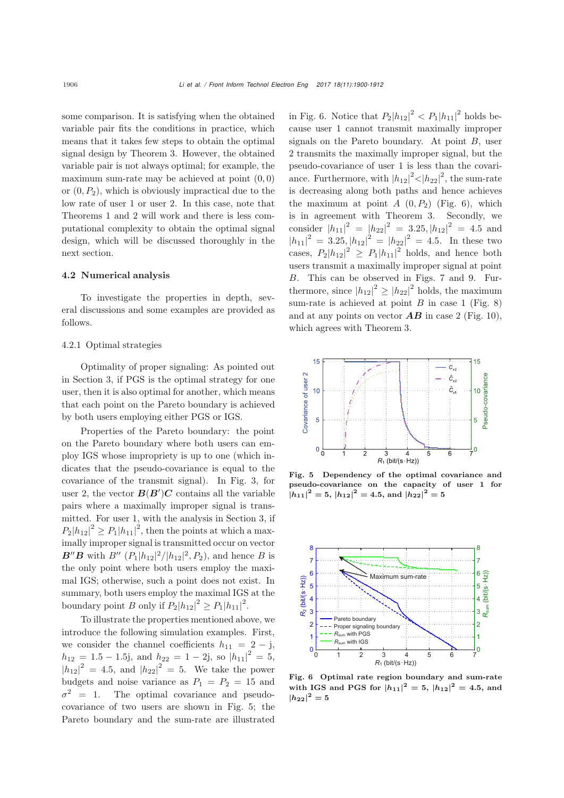some comparison. It is satisfying when the obtained variable pair fits the conditions in practice, which means that it takes few steps to obtain the optimal signal design by Theorem 3. However, the obtained variable pair is not always optimal; for example, the maximum sum-rate may be achieved at point  $(0, 0)$ or  $(0, P_2)$ , which is obviously impractical due to the low rate of user 1 or user 2. In this case, note that Theorems 1 and 2 will work and there is less computational complexity to obtain the optimal signal design, which will be discussed thoroughly in the next section.

#### 4.2 Numerical analysis

To investigate the properties in depth, several discussions and some examples are provided as follows.

#### 4.2.1 Optimal strategies

Optimality of proper signaling: As pointed out in Section 3, if PGS is the optimal strategy for one user, then it is also optimal for another, which means that each point on the Pareto boundary is achieved by both users employing either PGS or IGS.

Properties of the Pareto boundary: the point on the Pareto boundary where both users can employ IGS whose impropriety is up to one (which indicates that the pseudo-covariance is equal to the covariance of the transmit signal). In Fig. 3, for user 2, the vector  $B(B')C$  contains all the variable<br>pairs where a maximally improper signal is trans pairs where a maximally improper signal is transmitted. For user 1, with the analysis in Section 3, if  $P_2|h_{12}|^2 \ge P_1|h_{11}|^2$ , then the points at which a maximally improper signal is transmitted occur on vector  $B''B$  with  $B'' (P_1|h_{12}|^2/|h_{12}|^2, P_2)$ , and hence B is<br>the only point where both users employ the may: the only point where both users employ the maximal IGS; otherwise, such a point does not exist. In summary, both users employ the maximal IGS at the boundary point B only if  $P_2|h_{12}|^2 \ge P_1|h_{11}|^2$ .

To illustrate the properties mentioned above, we introduce the following simulation examples. First, we consider the channel coefficients  $h_{11} = 2 - j$ ,  $h_{12} = 1.5 - 1.5$ j, and  $h_{22} = 1 - 2$ j, so  $|h_{11}|^2 = 5$ ,<br> $|h_{11}|^2 = 4.5$  and  $|h_{12}|^2 = 5$ . We take the power  $|h_{12}|^2 = 4.5$ , and  $|h_{22}|^2 = 5$ . We take the power budgets and noise variance as  $P_1 = P_2 = 15$  and  $\sigma^2 = 1$ . The optimal covariance and pseudocovariance of two users are shown in Fig. 5; the Pareto boundary and the sum-rate are illustrated

in Fig. 6. Notice that  $P_2|h_{12}|^2 < P_1|h_{11}|^2$  holds because user 1 cannot transmit maximally improper signals on the Pareto boundary. At point  $B$ , user 2 transmits the maximally improper signal, but the pseudo-covariance of user 1 is less than the covariance. Furthermore, with  $|h_{12}|^2 < |h_{22}|^2$ , the sum-rate is decreasing along both paths and hence achieves the maximum at point  $A(0, P_2)$  (Fig. 6), which is in agreement with Theorem 3. Secondly, we consider  $|h_{11}|^2 = |h_{22}|^2 = 3.25, |h_{12}|^2 = 4.5$  and<br> $|h_{11}|^2 = 3.25, |h_{12}|^2 = 4.5$  and  $|h_{21}|^2 = 4.5$  and  $|h_{11}|^2 = 3.25, |h_{12}|^2 = |h_{22}|^2 = 4.5.$  In these two cases,  $P_2|h_{12}|^2 \ge P_1|h_{11}|^2$  holds, and hence both users transmit a maximally improper signal at point B. This can be observed in Figs. 7 and 9. Furthermore, since  $|h_{12}|^2 \geq |h_{22}|^2$  holds, the maximum sum-rate is achieved at point  $B$  in case 1 (Fig. 8) and at any points on vector  $\overline{AB}$  in case 2 (Fig. 10), which agrees with Theorem 3.



Fig. 5 Dependency of the optimal covariance and pseudo-covariance on the capacity of user 1 for  $|h_{11}|^2 = 5$ ,  $|h_{12}|^2 = 4.5$ , and  $|h_{22}|^2 = 5$ 



Fig. 6 Optimal rate region boundary and sum-rate with IGS and PGS for  $|h_{11}|^2 = 5$ ,  $|h_{12}|^2 = 4.5$ , and  $|h_{22}|^2 = 5$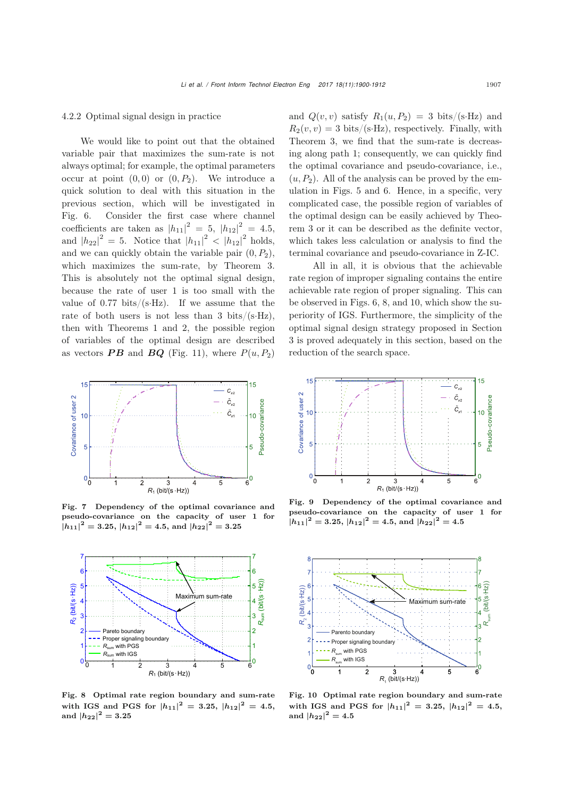#### 4.2.2 Optimal signal design in practice

We would like to point out that the obtained variable pair that maximizes the sum-rate is not always optimal; for example, the optimal parameters occur at point  $(0, 0)$  or  $(0, P_2)$ . We introduce a quick solution to deal with this situation in the previous section, which will be investigated in Fig. 6. Consider the first case where channel coefficients are taken as  $|h_{11}|^2 = 5$ ,  $|h_{12}|^2 = 4.5$ ,<br>and  $|h_{12}|^2 = 5$ . Notice that  $|h_{12}|^2 \le |h_{12}|^2$  holds. and  $|h_{22}|^2 = 5$ . Notice that  $|h_{11}|^2 < |h_{12}|^2$  holds, and we can quickly obtain the variable pair  $(0, P_2)$ , which maximizes the sum-rate, by Theorem 3. This is absolutely not the optimal signal design, because the rate of user 1 is too small with the value of  $0.77$  bits/(s $\cdot$ Hz). If we assume that the rate of both users is not less than 3 bits/(s $\cdot$ Hz), then with Theorems 1 and 2, the possible region of variables of the optimal design are described as vectors **PB** and **BQ** (Fig. 11), where  $P(u, P_2)$ 



Fig. 7 Dependency of the optimal covariance and pseudo-covariance on the capacity of user 1 for  $|h_{11}|^2 = 3.25, |h_{12}|^2 = 4.5, \text{ and } |h_{22}|^2 = 3.25$ 



Fig. 8 Optimal rate region boundary and sum-rate with IGS and PGS for  $|h_{11}|^2 = 3.25$ ,  $|h_{12}|^2 = 4.5$ , and  $|h_{22}|^2 = 3.25$ 

and  $Q(v, v)$  satisfy  $R_1(u, P_2) = 3$  bits/(s·Hz) and  $R_2(v, v) = 3 \text{ bits/(s-Hz)}$ , respectively. Finally, with Theorem 3, we find that the sum-rate is decreasing along path 1; consequently, we can quickly find the optimal covariance and pseudo-covariance, i.e.,  $(u, P_2)$ . All of the analysis can be proved by the emulation in Figs. 5 and 6. Hence, in a specific, very complicated case, the possible region of variables of the optimal design can be easily achieved by Theorem 3 or it can be described as the definite vector, which takes less calculation or analysis to find the terminal covariance and pseudo-covariance in Z-IC.

All in all, it is obvious that the achievable rate region of improper signaling contains the entire achievable rate region of proper signaling. This can be observed in Figs. 6, 8, and 10, which show the superiority of IGS. Furthermore, the simplicity of the optimal signal design strategy proposed in Section 3 is proved adequately in this section, based on the reduction of the search space.



Fig. 9 Dependency of the optimal covariance and pseudo-covariance on the capacity of user 1 for  $|h_{11}|^2 = 3.25, |h_{12}|^2 = 4.5, \text{ and } |h_{22}|^2 = 4.5$ 



Fig. 10 Optimal rate region boundary and sum-rate with IGS and PGS for  $|h_{11}|^2 = 3.25$ ,  $|h_{12}|^2 = 4.5$ , and  $|h_{22}|^2 = 4.5$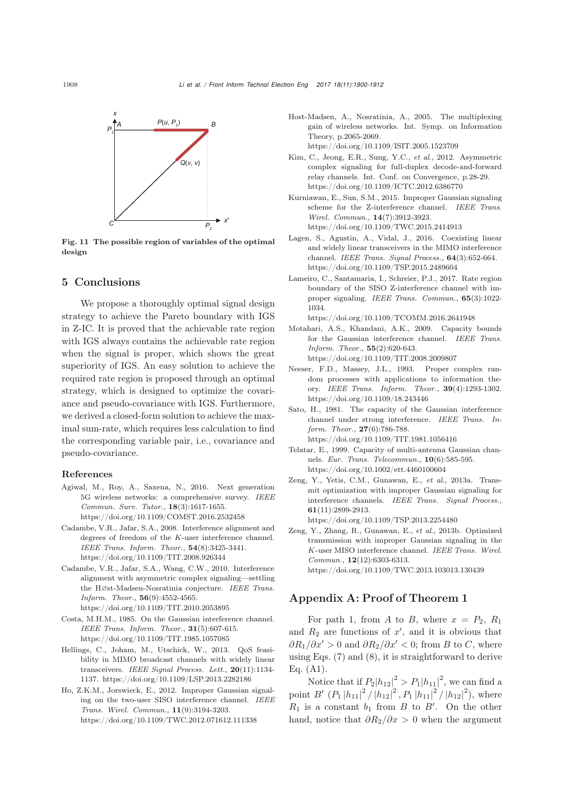

Fig. 11 The possible region of variables of the optimal design

### 5 Conclusions

We propose a thoroughly optimal signal design strategy to achieve the Pareto boundary with IGS in Z-IC. It is proved that the achievable rate region with IGS always contains the achievable rate region when the signal is proper, which shows the great superiority of IGS. An easy solution to achieve the required rate region is proposed through an optimal strategy, which is designed to optimize the covariance and pseudo-covariance with IGS. Furthermore, we derived a closed-form solution to achieve the maximal sum-rate, which requires less calculation to find the corresponding variable pair, i.e., covariance and pseudo-covariance.

#### References

- Agiwal, M., Roy, A., Saxena, N., 2016. Next generation 5G wireless networks: a comprehensive survey. *IEEE Commun. Surv. Tutor.*, 18(3):1617-1655. https://doi.org/10.1109/COMST.2016.2532458
- Cadambe, V.R., Jafar, S.A., 2008. Interference alignment and degrees of freedom of the *K*-user interference channel. *IEEE Trans. Inform. Theor.*, 54(8):3425-3441. https://doi.org/10.1109/TIT.2008.926344
- Cadambe, V.R., Jafar, S.A., Wang, C.W., 2010. Interference alignment with asymmetric complex signaling—settling the H∅st-Madsen-Nosratinia conjecture. *IEEE Trans. Inform. Theor.*, 56(9):4552-4565. https://doi.org/10.1109/TIT.2010.2053895
- Costa, M.H.M., 1985. On the Gaussian interference channel. *IEEE Trans. Inform. Theor.*, 31(5):607-615. https://doi.org/10.1109/TIT.1985.1057085
- Hellings, C., Joham, M., Utschick, W., 2013. QoS feasibility in MIMO broadcast channels with widely linear transceivers. *IEEE Signal Process. Lett.*, 20(11):1134- 1137. https://doi.org/10.1109/LSP.2013.2282186
- Ho, Z.K.M., Jorswieck, E., 2012. Improper Gaussian signaling on the two-user SISO interference channel. *IEEE Trans. Wirel. Commun.*, 11(9):3194-3203. https://doi.org/10.1109/TWC.2012.071612.111338
- Host-Madsen, A., Nosratinia, A., 2005. The multiplexing gain of wireless networks. Int. Symp. on Information Theory, p.2065-2069. https://doi.org/10.1109/ISIT.2005.1523709
- Kim, C., Jeong, E.R., Sung, Y.C., *et al*., 2012. Asymmetric complex signaling for full-duplex decode-and-forward relay channels. Int. Conf. on Convergence, p.28-29. https://doi.org/10.1109/ICTC.2012.6386770
- Kurniawan, E., Sun, S.M., 2015. Improper Gaussian signaling scheme for the Z-interference channel. *IEEE Trans. Wirel. Commun.*, 14(7):3912-3923. https://doi.org/10.1109/TWC.2015.2414913
- Lagen, S., Agustin, A., Vidal, J., 2016. Coexisting linear and widely linear transceivers in the MIMO interference channel. *IEEE Trans. Signal Process.*, 64(3):652-664. https://doi.org/10.1109/TSP.2015.2489604
- Lameiro, C., Santamaria, I., Schreier, P.J., 2017. Rate region boundary of the SISO Z-interference channel with improper signaling. *IEEE Trans. Commun.*, 65(3):1022- 1034. https://doi.org/10.1109/TCOMM.2016.2641948
- Motahari, A.S., Khandani, A.K., 2009. Capacity bounds for the Gaussian interference channel. *IEEE Trans. Inform. Theor.*, 55(2):620-643. https://doi.org/10.1109/TIT.2008.2009807
- Neeser, F.D., Massey, J.L., 1993. Proper complex random processes with applications to information theory. *IEEE Trans. Inform. Theor.*, 39(4):1293-1302. https://doi.org/10.1109/18.243446
- Sato, H., 1981. The capacity of the Gaussian interference channel under strong interference. *IEEE Trans. Inform. Theor.*, 27(6):786-788. https://doi.org/10.1109/TIT.1981.1056416
- Telatar, E., 1999. Capacity of multi-antenna Gaussian channels. *Eur. Trans. Telecommun.*, 10(6):585-595. https://doi.org/10.1002/ett.4460100604
- Zeng, Y., Yetis, C.M., Gunawan, E., *et al*., 2013a. Transmit optimization with improper Gaussian signaling for interference channels. *IEEE Trans. Signal Process.*, 61(11):2899-2913.
	- https://doi.org/10.1109/TSP.2013.2254480
- Zeng, Y., Zhang, R., Gunawan, E., *et al*., 2013b. Optimized transmission with improper Gaussian signaling in the *K*-user MISO interference channel. *IEEE Trans. Wirel. Commun.*, 12(12):6303-6313. https://doi.org/10.1109/TWC.2013.103013.130439

## Appendix A: Proof of Theorem 1

For path 1, from A to B, where  $x = P_2$ ,  $R_1$ and  $R_2$  are functions of  $x'$ , and it is obvious that  $\partial R_1/\partial x' > 0$  and  $\partial R_2/\partial x' < 0$ ; from B to C, where using Eqs.  $(7)$  and  $(8)$ , it is straightforward to derive Eq. (A1).

Notice that if  $P_2|h_{12}|^2 > P_1|h_{11}|^2$ , we can find a point  $B'(P_1|h_{11}|^2/|h_{12}|^2, P_1|h_{11}|^2/|h_{12}|^2)$ , where  $R_1$  is a constant  $b_1$  from  $B$  to  $B'$ . On the other hand, notice that  $\partial R_2/\partial x > 0$  when the argument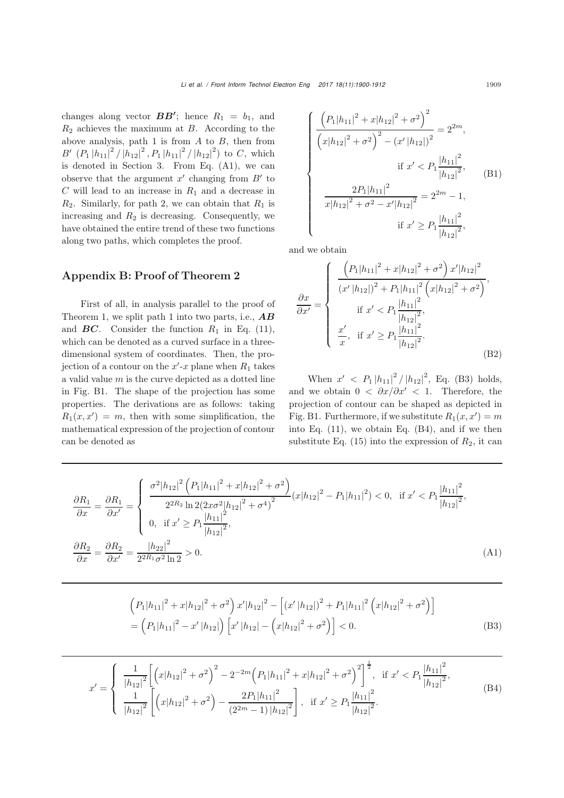changes along vector  $BB'$ ; hence  $R_1 = b_1$ , and<br> *B* achieves the maximum at *B* According to the  $R_2$  achieves the maximum at B. According to the above analysis, path 1 is from  $A$  to  $B$ , then from  $B'(P_1|h_{11}|^2/|h_{12}|^2, P_1|h_{11}|^2/|h_{12}|^2)$  to C, which<br>is denoted in Section 3. From Eq. (41), we can is denoted in Section 3. From Eq. (A1), we can observe that the argument  $x'$  changing from  $B'$  to  $C$  will lead to an increase in  $R_1$  and a decrease in  $R_2$ . Similarly, for path 2, we can obtain that  $R_1$  is increasing and  $R_2$  is decreasing. Consequently, we have obtained the entire trend of these two functions along two paths, which completes the proof.

# Appendix B: Proof of Theorem 2

First of all, in analysis parallel to the proof of Theorem 1, we split path 1 into two parts, i.e., *AB* and  $BC$ . Consider the function  $R_1$  in Eq. (11), which can be denoted as a curved surface in a threedimensional system of coordinates. Then, the projection of a contour on the  $x'$ -x plane when  $R_1$  takes a valid value  $m$  is the curve depicted as a dotted line in Fig. B1. The shape of the projection has some properties. The derivations are as follows: taking  $R_1(x, x') = m$ , then with some simplification, the mathematical expression of the projection of contour can be denoted as

$$
\begin{cases}\n\frac{\left(P_1|h_{11}|^2 + x|h_{12}|^2 + \sigma^2\right)^2}{\left(x|h_{12}|^2 + \sigma^2\right)^2 - \left(x'|h_{12}|\right)^2} = 2^{2m}, \\
\text{if } x' < P_1 \frac{|h_{11}|^2}{|h_{12}|^2}, \\
\frac{2P_1|h_{11}|^2}{x|h_{12}|^2 + \sigma^2 - x'|h_{12}|^2} = 2^{2m} - 1, \\
\text{if } x' \ge P_1 \frac{|h_{11}|^2}{|h_{12}|^2},\n\end{cases} (B1)
$$

and we obtain

$$
\frac{\partial x}{\partial x'} = \begin{cases}\n\frac{\left(P_1|h_{11}|^2 + x|h_{12}|^2 + \sigma^2\right)x'|h_{12}|^2}{\left(x'|h_{12}|\right)^2 + P_1|h_{11}|^2\left(x|h_{12}|^2 + \sigma^2\right)},\\
\text{if } x' < P_1 \frac{|h_{11}|^2}{|h_{12}|^2},\\
\frac{x'}{x}, \text{ if } x' \ge P_1 \frac{|h_{11}|^2}{|h_{12}|^2}.\n\end{cases} \tag{B2}
$$

When  $x' < P_1 |h_{11}|^2 / |h_{12}|^2$ , Eq. (B3) holds, and we obtain  $0 < \partial x/\partial x' < 1$ . Therefore, the projection of contour can be shaped as depicted in Fig. B1. Furthermore, if we substitute  $R_1(x, x') = m$ <br>into Eq. (11), we obtain Eq. (B4), and if we then into Eq. (11), we obtain Eq. (B4), and if we then substitute Eq.  $(15)$  into the expression of  $R_2$ , it can

$$
\frac{\partial R_1}{\partial x} = \frac{\partial R_1}{\partial x'} = \begin{cases}\n\frac{\sigma^2 |h_{12}|^2 \left( P_1 |h_{11}|^2 + x |h_{12}|^2 + \sigma^2 \right)}{2^{2R_2} \ln 2(2x\sigma^2 |h_{12}|^2 + \sigma^4)^2} (x |h_{12}|^2 - P_1 |h_{11}|^2) < 0, \text{ if } x' < P_1 \frac{|h_{11}|^2}{|h_{12}|^2}, \\
0, \text{ if } x' \ge P_1 \frac{|h_{11}|^2}{|h_{12}|^2},\n\frac{\partial R_2}{\partial x} = \frac{\partial R_2}{\partial x'} = \frac{|h_{22}|^2}{2^{2R_1} \sigma^2 \ln 2} > 0.\n\end{cases} \tag{A1}
$$

$$
\left(P_1|h_{11}|^2 + x|h_{12}|^2 + \sigma^2\right)x'|h_{12}|^2 - \left[\left(x'|h_{12}|\right)^2 + P_1|h_{11}|^2\left(x|h_{12}|^2 + \sigma^2\right)\right]
$$

$$
= \left(P_1|h_{11}|^2 - x'|h_{12}|\right)\left[x'|h_{12}| - \left(x|h_{12}|^2 + \sigma^2\right)\right] < 0.
$$
(B3)

$$
x' = \begin{cases} \frac{1}{|h_{12}|^2} \left[ \left( x|h_{12}|^2 + \sigma^2 \right)^2 - 2^{-2m} \left( P_1|h_{11}|^2 + x|h_{12}|^2 + \sigma^2 \right)^2 \right]^{\frac{1}{2}}, & \text{if } x' < P_1 \frac{|h_{11}|^2}{|h_{12}|^2}, \\ \frac{1}{|h_{12}|^2} \left[ \left( x|h_{12}|^2 + \sigma^2 \right) - \frac{2P_1|h_{11}|^2}{(2^{2m} - 1)|h_{12}|^2} \right], & \text{if } x' \ge P_1 \frac{|h_{11}|^2}{|h_{12}|^2}. \end{cases} \tag{B4}
$$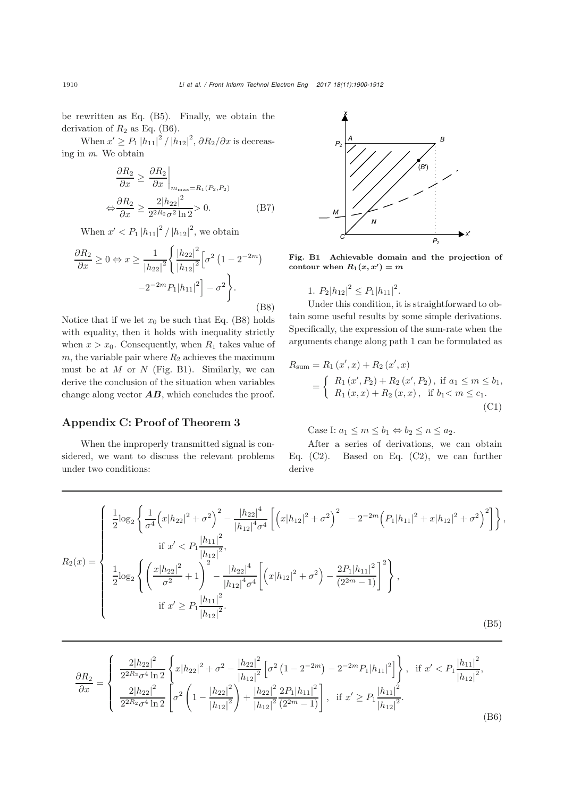be rewritten as Eq. (B5). Finally, we obtain the derivation of  $R_2$  as Eq. (B6).

When  $x' \ge P_1 |h_{11}|^2 / |h_{12}|^2$ ,  $\partial R_2 / \partial x$  is decreasing in *m*. We obtain

$$
\frac{\partial R_2}{\partial x} \ge \frac{\partial R_2}{\partial x}\Big|_{m_{\text{max}}=R_1(P_2, P_2)}
$$

$$
\Leftrightarrow \frac{\partial R_2}{\partial x} \ge \frac{2|h_{22}|^2}{2^{2R_2}\sigma^2\ln 2} > 0.
$$
(B7)

When  $x' < P_1 |h_{11}|^2 / |h_{12}|^2$ , we obtain Ñ,

$$
\frac{\partial R_2}{\partial x} \ge 0 \Leftrightarrow x \ge \frac{1}{|h_{22}|^2} \left\{ \frac{|h_{22}|^2}{|h_{12}|^2} \left[ \sigma^2 \left( 1 - 2^{-2m} \right) - 2^{-2m} P_1 |h_{11}|^2 \right] - \sigma^2 \right\}.
$$
\n(B8)

Notice that if we let  $x_0$  be such that Eq. (B8) holds with equality, then it holds with inequality strictly when  $x > x_0$ . Consequently, when  $R_1$  takes value of  $m$ , the variable pair where  $R_2$  achieves the maximum must be at  $M$  or  $N$  (Fig. B1). Similarly, we can derive the conclusion of the situation when variables change along vector *AB*, which concludes the proof.

## Appendix C: Proof of Theorem 3

When the improperly transmitted signal is considered, we want to discuss the relevant problems under two conditions:



Fig. B1 Achievable domain and the projection of contour when  $R_1(x, x') = m$ 

1. 
$$
P_2|h_{12}|^2 \leq P_1|h_{11}|^2
$$
.

Under this condition, it is straightforward to obtain some useful results by some simple derivations. Specifically, the expression of the sum-rate when the arguments change along path 1 can be formulated as

$$
R_{\text{sum}} = R_1(x', x) + R_2(x', x)
$$
  
= 
$$
\begin{cases} R_1(x', P_2) + R_2(x', P_2), \text{ if } a_1 \le m \le b_1, \\ R_1(x, x) + R_2(x, x), \text{ if } b_1 < m \le c_1. \end{cases}
$$
 (C1)

Case I:  $a_1 \leq m \leq b_1 \Leftrightarrow b_2 \leq n \leq a_2$ .

After a series of derivations, we can obtain Eq.  $(C2)$ . Based on Eq.  $(C2)$ , we can further derive

$$
R_2(x) = \begin{cases} \frac{1}{2} \log_2 \left\{ \frac{1}{\sigma^4} \left( x|h_{22}|^2 + \sigma^2 \right)^2 - \frac{|h_{22}|^4}{|h_{12}|^4 \sigma^4} \left[ \left( x|h_{12}|^2 + \sigma^2 \right)^2 - 2^{-2m} \left( P_1|h_{11}|^2 + x|h_{12}|^2 + \sigma^2 \right)^2 \right] \right\}, \\ \text{if } x' < P_1 \frac{|h_{11}|^2}{|h_{12}|^2}, \\ \frac{1}{2} \log_2 \left\{ \left( \frac{x|h_{22}|^2}{\sigma^2} + 1 \right)^2 - \frac{|h_{22}|^4}{|h_{12}|^4 \sigma^4} \left[ \left( x|h_{12}|^2 + \sigma^2 \right) - \frac{2P_1|h_{11}|^2}{(2^{2m} - 1)} \right]^2 \right\}, \\ \text{if } x' \ge P_1 \frac{|h_{11}|^2}{|h_{12}|^2}. \end{cases} (B5)
$$

$$
\frac{\partial R_2}{\partial x} = \begin{cases}\n\frac{2|h_{22}|^2}{2^{2R_2}\sigma^4 \ln 2} \left\{ x|h_{22}|^2 + \sigma^2 - \frac{|h_{22}|^2}{|h_{12}|^2} \left[ \sigma^2 \left( 1 - 2^{-2m} \right) - 2^{-2m} P_1 |h_{11}|^2 \right] \right\}, & \text{if } x' < P_1 \frac{|h_{11}|^2}{|h_{12}|^2}, \\
\frac{2|h_{22}|^2}{2^{2R_2}\sigma^4 \ln 2} \left[ \sigma^2 \left( 1 - \frac{|h_{22}|^2}{|h_{12}|^2} \right) + \frac{|h_{22}|^2}{|h_{12}|^2} \frac{2P_1 |h_{11}|^2}{(2^{2m} - 1)} \right], & \text{if } x' \ge P_1 \frac{|h_{11}|^2}{|h_{12}|^2}.\n\end{cases} \tag{B6}
$$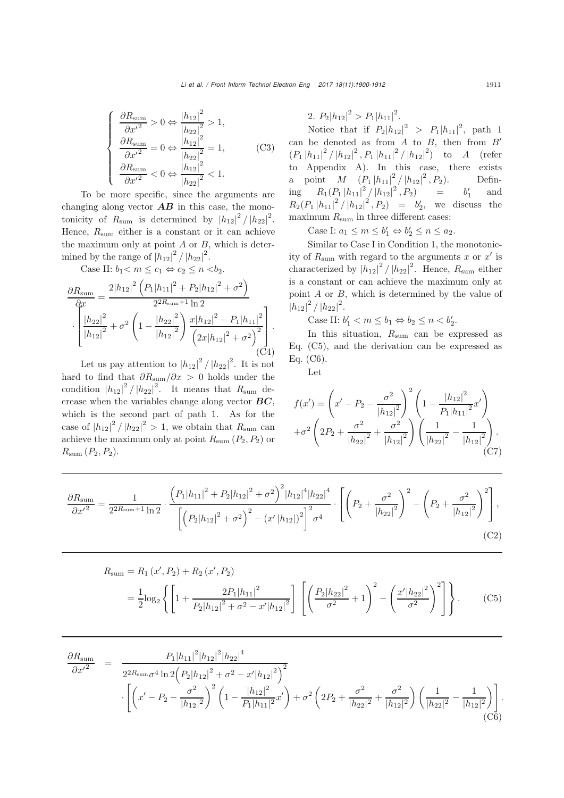$$
\begin{cases}\n\frac{\partial R_{\text{sum}}}{\partial x'^2} > 0 \Leftrightarrow \frac{|h_{12}|^2}{|h_{22}|^2} > 1, \\
\frac{\partial R_{\text{sum}}}{\partial x'^2} = 0 \Leftrightarrow \frac{|h_{12}|^2}{|h_{22}|^2} = 1, \\
\frac{\partial R_{\text{sum}}}{\partial x'^2} < 0 \Leftrightarrow \frac{|h_{12}|^2}{|h_{22}|^2} < 1.\n\end{cases}
$$
(C3)

To be more specific, since the arguments are changing along vector  $\overline{AB}$  in this case, the monotonicity of  $R_{\text{sum}}$  is determined by  $|h_{12}|^2 / |h_{22}|^2$ . Hence,  $R_{\text{sum}}$  either is a constant or it can achieve the maximum only at point  $A$  or  $B$ , which is determined by the range of  $|h_{12}|^2 / |h_{22}|^2$ .

Case II:  $b_1 < m \le c_1 \Leftrightarrow c_2 \le n < b_2$ .<br>  $2|h^{-1^2}(p+h^{-1^2}+p+h^{-1^2})|$ 

$$
\frac{\partial R_{\text{sum}}}{\partial x} = \frac{2|h_{12}|^2 \left(P_1|h_{11}|^2 + P_2|h_{12}|^2 + \sigma^2\right)}{2^{2R_{\text{sum}}+1}\ln 2} \cdot \frac{|h_{22}|^2}{|h_{12}|^2} + \sigma^2 \left(1 - \frac{|h_{22}|^2}{|h_{12}|^2}\right) \frac{x|h_{12}|^2 - P_1|h_{11}|^2}{\left(2x|h_{12}|^2 + \sigma^2\right)^2} \cdot \frac{C(1)}{C(2)}
$$

Let us pay attention to  $|h_{12}|^2 / |h_{22}|^2$ . It is not hard to find that  $\partial R_{\text{sum}}/\partial x > 0$  holds under the condition  $|h_{12}|^2 / |h_{22}|^2$ . It means that  $R_{\text{sum}}$  decrease when the variables change along vector *BC*, which is the second part of path 1. As for the case of  $|h_{12}|^2 / |h_{22}|^2 > 1$ , we obtain that  $R_{\text{sum}}$  can<br>cabine the maximum only at point  $P_{\text{max}}(P, P)$  on achieve the maximum only at point  $R_{\text{sum}}(P_2, P_2)$  or  $R_{\text{sum}}$   $(P_2, P_2)$ .

2. 
$$
P_2|h_{12}|^2 > P_1|h_{11}|^2
$$
.

Notice that if  $P_2|h_{12}|^2 > P_1|h_{11}|^2$ , path 1 can be denoted as from  $A$  to  $B$ , then from  $B'$  $(P_1 |h_{11}|^2 / |h_{12}|^2, P_1 |h_{11}|^2 / |h_{12}|^2)$  to A (refer<br>to Appendix A) In this association wiste Appendix A). In this case, there exists a point  $M \left(\frac{P_1}{h_{11}}\Big|^2 / |h_{12}|^2, P_2\right)$ . Defining  $R_1(P_1|h_{11}|^2/|h_{12}|^2, P_2)$  =  $b'_1$  and<br> $R_1(P_1|h_{11}|^2/|h_{12}|^2, P_1) = b'_1$  we discuss the  $R_2(P_1|h_{11}|^2/|h_{12}|^2, P_2) = b'_2$ , we discuss the maximum  $R_{\text{sum}}$  in three different cases:

Case I:  $a_1 \le m \le b'_1 \Leftrightarrow b'_2 \le n \le a_2$ .

Similar to Case I in Condition 1, the monotonicity of  $R_{\text{sum}}$  with regard to the arguments x or x' is characterized by  $|h_{12}|^2 / |h_{22}|^2$ . Hence,  $R_{\text{sum}}$  either is a constant or can achieve the maximum only at point A or B, which is determined by the value of  $|h_{12}|^2 / |h_{22}|^2$ .

Case II:  $b'_1 < m \leq b_1 \Leftrightarrow b_2 \leq n < b'_2$ .

In this situation,  $R_{\text{sum}}$  can be expressed as Eq. (C5), and the derivation can be expressed as Eq. (C6).

Let

$$
f(x') = \left(x' - P_2 - \frac{\sigma^2}{|h_{12}|^2}\right)^2 \left(1 - \frac{|h_{12}|^2}{P_1|h_{11}|^2}x'\right)
$$

$$
+\sigma^2 \left(2P_2 + \frac{\sigma^2}{|h_{22}|^2} + \frac{\sigma^2}{|h_{12}|^2}\right) \left(\frac{1}{|h_{22}|^2} - \frac{1}{|h_{12}|^2}\right).
$$
(C7)

$$
\frac{\partial R_{\text{sum}}}{\partial x'^2} = \frac{1}{2^{2R_{\text{sum}}+1}\ln 2} \cdot \frac{\left(P_1|h_{11}|^2 + P_2|h_{12}|^2 + \sigma^2\right)^2 |h_{12}|^4 |h_{22}|^4}{\left[\left(P_2|h_{12}|^2 + \sigma^2\right)^2 - \left(x'|h_{12}|\right)^2\right]^2 \sigma^4} \cdot \left[\left(P_2 + \frac{\sigma^2}{|h_{22}|^2}\right)^2 - \left(P_2 + \frac{\sigma^2}{|h_{12}|^2}\right)^2\right],\tag{C2}
$$

$$
R_{\text{sum}} = R_1(x', P_2) + R_2(x', P_2)
$$
  
=  $\frac{1}{2} \log_2 \left\{ \left[ 1 + \frac{2P_1|h_{11}|^2}{P_2|h_{12}|^2 + \sigma^2 - x'|h_{12}|^2} \right] \left[ \left( \frac{P_2|h_{22}|^2}{\sigma^2} + 1 \right)^2 - \left( \frac{x'|h_{22}|^2}{\sigma^2} \right)^2 \right] \right\}.$  (C5)

$$
\frac{\partial R_{\text{sum}}}{\partial x'^2} = \frac{P_1 |h_{11}|^2 |h_{12}|^2 |h_{22}|^4}{2^{2R_{\text{sum}}}\sigma^4 \ln 2 \left(P_2 |h_{12}|^2 + \sigma^2 - x' |h_{12}|^2\right)^2} \cdot \left[ \left(x' - P_2 - \frac{\sigma^2}{|h_{12}|^2}\right)^2 \left(1 - \frac{|h_{12}|^2}{P_1 |h_{11}|^2} x'\right) + \sigma^2 \left(2P_2 + \frac{\sigma^2}{|h_{22}|^2} + \frac{\sigma^2}{|h_{12}|^2}\right) \left(\frac{1}{|h_{22}|^2} - \frac{1}{|h_{12}|^2}\right) \right].
$$
\n(C6)